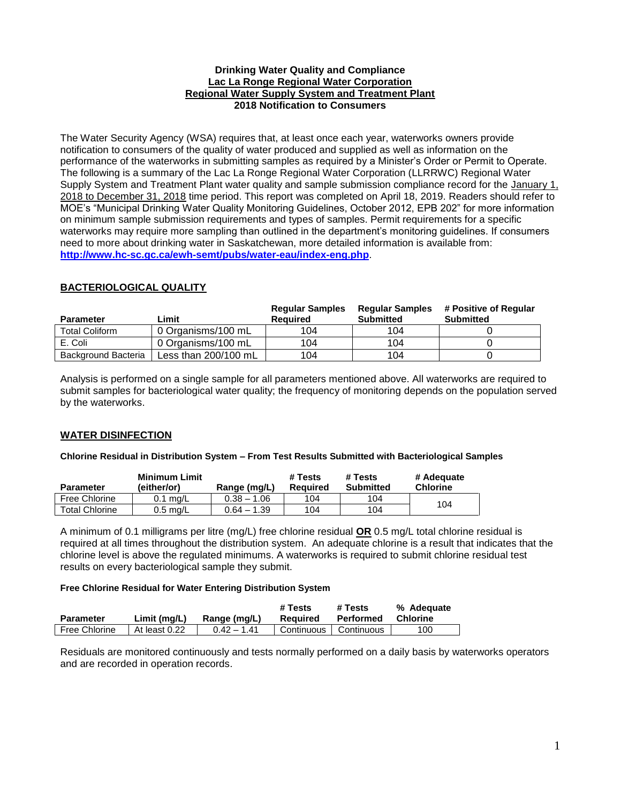### **Drinking Water Quality and Compliance Lac La Ronge Regional Water Corporation Regional Water Supply System and Treatment Plant 2018 Notification to Consumers**

The Water Security Agency (WSA) requires that, at least once each year, waterworks owners provide notification to consumers of the quality of water produced and supplied as well as information on the performance of the waterworks in submitting samples as required by a Minister's Order or Permit to Operate. The following is a summary of the Lac La Ronge Regional Water Corporation (LLRRWC) Regional Water Supply System and Treatment Plant water quality and sample submission compliance record for the January 1, 2018 to December 31, 2018 time period. This report was completed on April 18, 2019. Readers should refer to MOE's "Municipal Drinking Water Quality Monitoring Guidelines, October 2012, EPB 202" for more information on minimum sample submission requirements and types of samples. Permit requirements for a specific waterworks may require more sampling than outlined in the department's monitoring guidelines. If consumers need to more about drinking water in Saskatchewan, more detailed information is available from: **<http://www.hc-sc.gc.ca/ewh-semt/pubs/water-eau/index-eng.php>**.

# **BACTERIOLOGICAL QUALITY**

| <b>Parameter</b>      | Limit                | <b>Regular Samples</b><br>Reauired | <b>Regular Samples</b><br><b>Submitted</b> | # Positive of Regular<br><b>Submitted</b> |
|-----------------------|----------------------|------------------------------------|--------------------------------------------|-------------------------------------------|
| <b>Total Coliform</b> | 0 Organisms/100 mL   | 104                                | 104                                        |                                           |
| E. Coli               | 0 Organisms/100 mL   | 104                                | 104                                        |                                           |
| Background Bacteria   | Less than 200/100 mL | 104                                | 104                                        |                                           |

Analysis is performed on a single sample for all parameters mentioned above. All waterworks are required to submit samples for bacteriological water quality; the frequency of monitoring depends on the population served by the waterworks.

# **WATER DISINFECTION**

### **Chlorine Residual in Distribution System – From Test Results Submitted with Bacteriological Samples**

| <b>Parameter</b>      | <b>Minimum Limit</b><br>(either/or) | Range (mg/L)  | # Tests<br>Reauired | # Tests<br><b>Submitted</b> | # Adequate<br><b>Chlorine</b> |
|-----------------------|-------------------------------------|---------------|---------------------|-----------------------------|-------------------------------|
| Free Chlorine         | $0.1 \text{ ma/L}$                  | $0.38 - 1.06$ | 104                 | 104                         | 104                           |
| <b>Total Chlorine</b> | $0.5 \text{ ma/L}$                  | $0.64 - 1.39$ | 104                 | 104                         |                               |

A minimum of 0.1 milligrams per litre (mg/L) free chlorine residual **OR** 0.5 mg/L total chlorine residual is required at all times throughout the distribution system. An adequate chlorine is a result that indicates that the chlorine level is above the regulated minimums. A waterworks is required to submit chlorine residual test results on every bacteriological sample they submit.

### **Free Chlorine Residual for Water Entering Distribution System**

| <b>Parameter</b> | Limit (mg/L)  | Range (mg/L)  | # Tests<br>Reauired     | # Tests<br>Performed | % Adequate<br>Chlorine |
|------------------|---------------|---------------|-------------------------|----------------------|------------------------|
| Free Chlorine    | At least 0.22 | $0.42 - 1.41$ | Continuous   Continuous |                      | 100                    |

Residuals are monitored continuously and tests normally performed on a daily basis by waterworks operators and are recorded in operation records.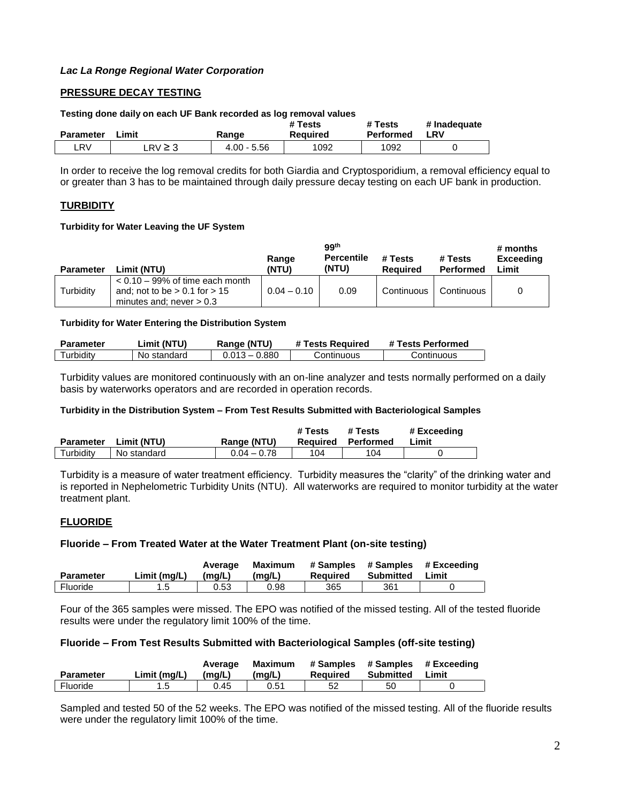# **PRESSURE DECAY TESTING**

#### **Testing done daily on each UF Bank recorded as log removal values**

| <b>Parameter</b> |          | Range         | # Tests  | # Tests   | # Inadeguate |
|------------------|----------|---------------|----------|-----------|--------------|
| Limit            |          |               | Reauired | Performed | <b>LRV</b>   |
| LRV.             | $RV$ ≥ 3 | $4.00 - 5.56$ | 1092     | 1092      |              |

In order to receive the log removal credits for both Giardia and Cryptosporidium, a removal efficiency equal to or greater than 3 has to be maintained through daily pressure decay testing on each UF bank in production.

### **TURBIDITY**

#### **Turbidity for Water Leaving the UF System**

| <b>Parameter</b> | Limit (NTU)                                                                                           | Range<br>(NTU) | 99 <sup>th</sup><br><b>Percentile</b><br>(NTU) | # Tests<br><b>Required</b> | # Tests<br><b>Performed</b> | # months<br><b>Exceeding</b><br>Limit |
|------------------|-------------------------------------------------------------------------------------------------------|----------------|------------------------------------------------|----------------------------|-----------------------------|---------------------------------------|
| Turbidity        | $< 0.10 - 99\%$ of time each month<br>and; not to be $> 0.1$ for $> 15$<br>minutes and; never $> 0.3$ | $0.04 - 0.10$  | 0.09                                           | Continuous                 | Continuous                  | 0                                     |

#### **Turbidity for Water Entering the Distribution System**

| Parameter | _imit (NTU) | Range (NTU)     | # Tests Reauired | # Tests Performed |
|-----------|-------------|-----------------|------------------|-------------------|
| Turbiditv | No standard | $0.013 - 0.880$ | Continuous       | Continuous        |

Turbidity values are monitored continuously with an on-line analyzer and tests normally performed on a daily basis by waterworks operators and are recorded in operation records.

#### **Turbidity in the Distribution System – From Test Results Submitted with Bacteriological Samples**

| <b>Parameter</b> | Limit (NTU) | Range (NTU)   | # Tests | # Tests<br><b>Required Performed</b> | # Exceedina<br>Limit |
|------------------|-------------|---------------|---------|--------------------------------------|----------------------|
| Turbidity        | No standard | $0.04 - 0.78$ | 104     | 104                                  |                      |

Turbidity is a measure of water treatment efficiency. Turbidity measures the "clarity" of the drinking water and is reported in Nephelometric Turbidity Units (NTU). All waterworks are required to monitor turbidity at the water treatment plant.

### **FLUORIDE**

### **Fluoride – From Treated Water at the Water Treatment Plant (on-site testing)**

| Parameter | Limit (mg/L) | Average<br>(mq/L) | Maximum<br>(mq/L) | Required | Submitted | # Samples # Samples # Exceeding<br>Limit |
|-----------|--------------|-------------------|-------------------|----------|-----------|------------------------------------------|
| Fluoride  |              | 0.53              | 0.98              | 365      | 361       |                                          |

Four of the 365 samples were missed. The EPO was notified of the missed testing. All of the tested fluoride results were under the regulatory limit 100% of the time.

### **Fluoride – From Test Results Submitted with Bacteriological Samples (off-site testing)**

| <b>Parameter</b> | Limit (ma/L) | Average<br>(ma/L) | Maximum<br>(ma/L) | # Samples<br>Reauired | # Samples<br>Submitted | # Exceedina<br>Limit |
|------------------|--------------|-------------------|-------------------|-----------------------|------------------------|----------------------|
| Fluoride         |              | 0.45              | 0.51              |                       | 50                     |                      |

Sampled and tested 50 of the 52 weeks. The EPO was notified of the missed testing. All of the fluoride results were under the regulatory limit 100% of the time.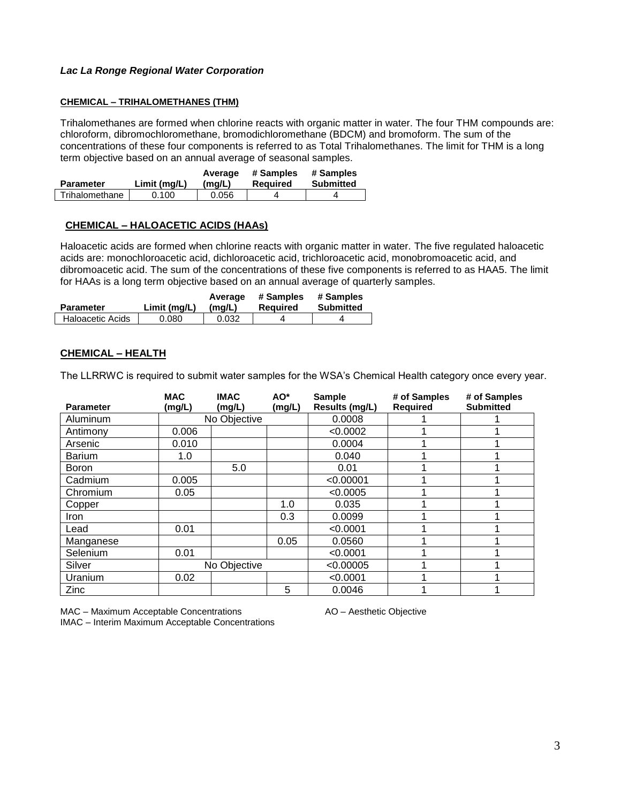#### **CHEMICAL – TRIHALOMETHANES (THM)**

Trihalomethanes are formed when chlorine reacts with organic matter in water. The four THM compounds are: chloroform, dibromochloromethane, bromodichloromethane (BDCM) and bromoform. The sum of the concentrations of these four components is referred to as Total Trihalomethanes. The limit for THM is a long term objective based on an annual average of seasonal samples.

|                  |              | Average | # Samples | # Samples        |  |
|------------------|--------------|---------|-----------|------------------|--|
| <b>Parameter</b> | Limit (ma/L) | (ma/L)  | Reauired  | <b>Submitted</b> |  |
| Trihalomethane   | 0.100        | 0.056   |           |                  |  |

### **CHEMICAL – HALOACETIC ACIDS (HAAs)**

Haloacetic acids are formed when chlorine reacts with organic matter in water. The five regulated haloacetic acids are: monochloroacetic acid, dichloroacetic acid, trichloroacetic acid, monobromoacetic acid, and dibromoacetic acid. The sum of the concentrations of these five components is referred to as HAA5. The limit for HAAs is a long term objective based on an annual average of quarterly samples.

|                         |              | Average | # Samples | # Samples |
|-------------------------|--------------|---------|-----------|-----------|
| <b>Parameter</b>        | Limit (ma/L) | (ma/L)  | Reauired  | Submitted |
| <b>Haloacetic Acids</b> | 0.080        | 0.032   |           |           |

### **CHEMICAL – HEALTH**

The LLRRWC is required to submit water samples for the WSA's Chemical Health category once every year.

| <b>Parameter</b> | <b>MAC</b><br>(mg/L) | <b>IMAC</b><br>(mg/L) | AO <sup>*</sup><br>(mg/L) | <b>Sample</b><br>Results (mg/L) | # of Samples<br><b>Required</b> | # of Samples<br><b>Submitted</b> |
|------------------|----------------------|-----------------------|---------------------------|---------------------------------|---------------------------------|----------------------------------|
| Aluminum         |                      | No Objective          |                           | 0.0008                          |                                 |                                  |
| Antimony         | 0.006                |                       |                           | < 0.0002                        |                                 |                                  |
| Arsenic          | 0.010                |                       |                           | 0.0004                          |                                 |                                  |
| <b>Barium</b>    | 1.0                  |                       |                           | 0.040                           |                                 |                                  |
| <b>Boron</b>     |                      | 5.0                   |                           | 0.01                            |                                 |                                  |
| Cadmium          | 0.005                |                       |                           | < 0.00001                       |                                 |                                  |
| Chromium         | 0.05                 |                       |                           | < 0.0005                        |                                 |                                  |
| Copper           |                      |                       | 1.0                       | 0.035                           |                                 |                                  |
| Iron             |                      |                       | 0.3                       | 0.0099                          |                                 |                                  |
| Lead             | 0.01                 |                       |                           | < 0.0001                        |                                 |                                  |
| Manganese        |                      |                       | 0.05                      | 0.0560                          |                                 |                                  |
| Selenium         | 0.01                 |                       |                           | < 0.0001                        |                                 |                                  |
| Silver           |                      | No Objective          |                           | < 0.00005                       |                                 |                                  |
| Uranium          | 0.02                 |                       |                           | < 0.0001                        |                                 |                                  |
| Zinc             |                      |                       | 5                         | 0.0046                          |                                 |                                  |

MAC – Maximum Acceptable Concentrations **AO** – Aesthetic Objective

IMAC – Interim Maximum Acceptable Concentrations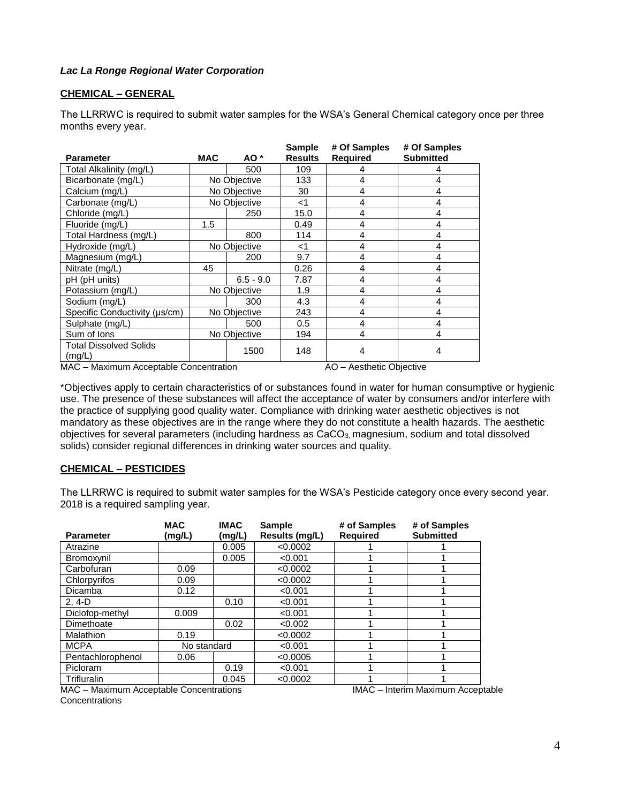### **CHEMICAL – GENERAL**

The LLRRWC is required to submit water samples for the WSA's General Chemical category once per three months every year.

| <b>Parameter</b>                        | <b>MAC</b>   | AO *         | <b>Sample</b><br><b>Results</b> | # Of Samples<br><b>Required</b> | # Of Samples<br><b>Submitted</b> |
|-----------------------------------------|--------------|--------------|---------------------------------|---------------------------------|----------------------------------|
| Total Alkalinity (mg/L)                 |              | 500          | 109                             | 4                               | 4                                |
| Bicarbonate (mg/L)                      |              | No Objective | 133                             | $\overline{4}$                  | 4                                |
| Calcium (mg/L)                          |              | No Objective | 30                              | 4                               | 4                                |
| Carbonate (mg/L)                        |              | No Objective | $<$ 1                           | 4                               | 4                                |
| Chloride (mg/L)                         |              | 250          | 15.0                            | 4                               | 4                                |
| Fluoride (mg/L)                         | 1.5          |              | 0.49                            | 4                               | 4                                |
| Total Hardness (mg/L)                   |              | 800          | 114                             | 4                               | 4                                |
| Hydroxide (mg/L)                        | No Objective |              | $<$ 1                           | 4                               | 4                                |
| Magnesium (mg/L)                        | 200          |              | 9.7                             | 4                               | 4                                |
| Nitrate (mg/L)                          | 45           |              | 0.26                            | 4                               | 4                                |
| pH (pH units)                           |              | $6.5 - 9.0$  | 7.87                            | 4                               | 4                                |
| Potassium (mg/L)                        | No Objective |              | 1.9                             | 4                               | 4                                |
| Sodium (mg/L)                           |              | 300          | 4.3                             | 4                               | 4                                |
| Specific Conductivity (µs/cm)           | No Objective |              | 243                             | 4                               | 4                                |
| Sulphate (mg/L)                         |              | 500          | 0.5                             | $\overline{4}$                  | 4                                |
| Sum of lons                             | No Objective |              | 194                             | 4                               | 4                                |
| <b>Total Dissolved Solids</b><br>(mg/L) |              | 1500         | 148                             | 4                               | 4                                |

MAC – Maximum Acceptable Concentration AO – Aesthetic Objective

\*Objectives apply to certain characteristics of or substances found in water for human consumptive or hygienic use. The presence of these substances will affect the acceptance of water by consumers and/or interfere with the practice of supplying good quality water. Compliance with drinking water aesthetic objectives is not mandatory as these objectives are in the range where they do not constitute a health hazards. The aesthetic objectives for several parameters (including hardness as CaCO<sub>3</sub>, magnesium, sodium and total dissolved solids) consider regional differences in drinking water sources and quality.

### **CHEMICAL – PESTICIDES**

The LLRRWC is required to submit water samples for the WSA's Pesticide category once every second year. 2018 is a required sampling year.

| <b>Parameter</b>                  | <b>MAC</b><br>(mg/L)   | <b>IMAC</b><br>(mg/L) | <b>Sample</b><br>Results (mg/L) | # of Samples<br><b>Required</b> | # of Samples<br><b>Submitted</b> |
|-----------------------------------|------------------------|-----------------------|---------------------------------|---------------------------------|----------------------------------|
| Atrazine                          |                        | 0.005                 | < 0.0002                        |                                 |                                  |
| Bromoxynil                        |                        | 0.005                 | < 0.001                         |                                 |                                  |
| Carbofuran                        | 0.09                   |                       | < 0.0002                        |                                 |                                  |
| Chlorpyrifos                      | 0.09                   |                       | < 0.0002                        |                                 |                                  |
| <b>Dicamba</b>                    | 0.12                   |                       | < 0.001                         |                                 |                                  |
| $2.4-D$                           |                        | 0.10                  | < 0.001                         |                                 |                                  |
| Diclofop-methyl                   | 0.009                  |                       | < 0.001                         |                                 |                                  |
| Dimethoate                        |                        | 0.02                  | < 0.002                         |                                 |                                  |
| Malathion                         | 0.19                   |                       | < 0.0002                        |                                 |                                  |
| <b>MCPA</b>                       | No standard            |                       | < 0.001                         |                                 |                                  |
| Pentachlorophenol                 | 0.06                   |                       | < 0.0005                        |                                 |                                  |
| Picloram                          |                        | 0.19                  | < 0.001                         |                                 |                                  |
| Trifluralin<br>$\cdots$<br>$\sim$ | $\cdot$ $\cdot$ $\sim$ | 0.045                 | < 0.0002                        | $\cdots$<br>$\blacksquare$      | $\cdots$                         |

MAC – Maximum Acceptable Concentrations **IMAC – Interim Maximum Acceptable Concentrations**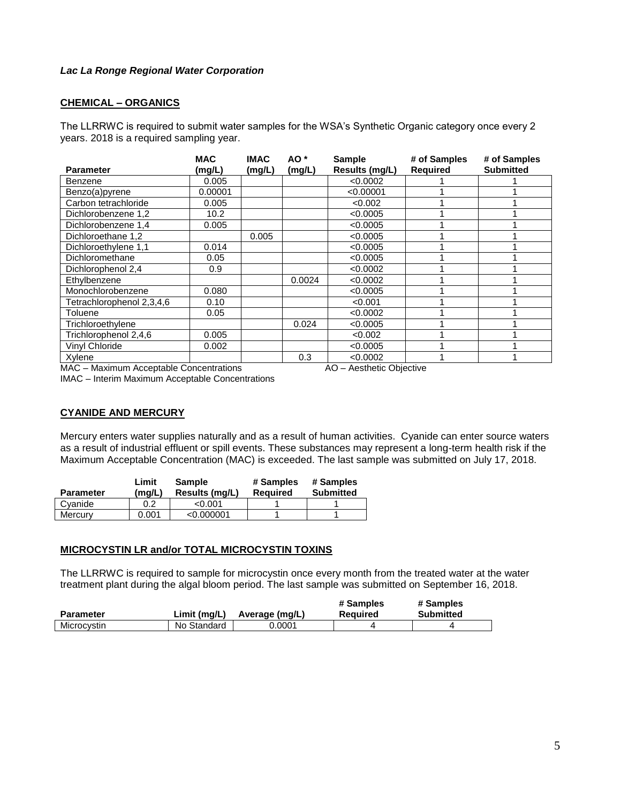## **CHEMICAL – ORGANICS**

The LLRRWC is required to submit water samples for the WSA's Synthetic Organic category once every 2 years. 2018 is a required sampling year.

| <b>Parameter</b>          | <b>MAC</b><br>(mg/L) | <b>IMAC</b><br>(mg/L) | AO *<br>(mg/L) | <b>Sample</b><br>Results (mg/L) | # of Samples<br><b>Required</b> | # of Samples<br><b>Submitted</b> |
|---------------------------|----------------------|-----------------------|----------------|---------------------------------|---------------------------------|----------------------------------|
| Benzene                   | 0.005                |                       |                | < 0.0002                        |                                 |                                  |
| Benzo(a)pyrene            | 0.00001              |                       |                | < 0.00001                       |                                 |                                  |
| Carbon tetrachloride      | 0.005                |                       |                | < 0.002                         |                                 |                                  |
| Dichlorobenzene 1.2       | 10.2                 |                       |                | < 0.0005                        |                                 |                                  |
| Dichlorobenzene 1,4       | 0.005                |                       |                | < 0.0005                        |                                 |                                  |
| Dichloroethane 1,2        |                      | 0.005                 |                | < 0.0005                        |                                 |                                  |
| Dichloroethylene 1,1      | 0.014                |                       |                | < 0.0005                        |                                 |                                  |
| Dichloromethane           | 0.05                 |                       |                | < 0.0005                        |                                 |                                  |
| Dichlorophenol 2,4        | 0.9                  |                       |                | < 0.0002                        |                                 |                                  |
| Ethylbenzene              |                      |                       | 0.0024         | < 0.0002                        |                                 |                                  |
| Monochlorobenzene         | 0.080                |                       |                | < 0.0005                        |                                 |                                  |
| Tetrachlorophenol 2,3,4,6 | 0.10                 |                       |                | < 0.001                         |                                 |                                  |
| Toluene                   | 0.05                 |                       |                | < 0.0002                        |                                 |                                  |
| Trichloroethylene         |                      |                       | 0.024          | < 0.0005                        |                                 |                                  |
| Trichlorophenol 2,4,6     | 0.005                |                       |                | < 0.002                         |                                 |                                  |
| Vinyl Chloride            | 0.002                |                       |                | < 0.0005                        |                                 |                                  |
| Xylene                    |                      |                       | 0.3            | < 0.0002                        |                                 |                                  |

MAC – Maximum Acceptable Concentrations <br>AO – Aesthetic Objective

IMAC – Interim Maximum Acceptable Concentrations

# **CYANIDE AND MERCURY**

Mercury enters water supplies naturally and as a result of human activities. Cyanide can enter source waters as a result of industrial effluent or spill events. These substances may represent a long-term health risk if the Maximum Acceptable Concentration (MAC) is exceeded. The last sample was submitted on July 17, 2018.

| <b>Parameter</b> | Limit<br>(mq/L) | <b>Sample</b><br>Results (mg/L) | # Samples<br>Reauired | # Samples<br><b>Submitted</b> |
|------------------|-----------------|---------------------------------|-----------------------|-------------------------------|
| Cvanide          | 0.2             | < 0.001                         |                       |                               |
| Mercurv          | 0.001           | < 0.000001                      |                       |                               |

# **MICROCYSTIN LR and/or TOTAL MICROCYSTIN TOXINS**

The LLRRWC is required to sample for microcystin once every month from the treated water at the water treatment plant during the algal bloom period. The last sample was submitted on September 16, 2018.

|                  |              |                | # Samples | # Samples        |
|------------------|--------------|----------------|-----------|------------------|
| <b>Parameter</b> | Limit (mg/L) | Average (mg/L) | Reauired  | <b>Submitted</b> |
| Microcvstin      | No Standard  | 0.0001         |           |                  |